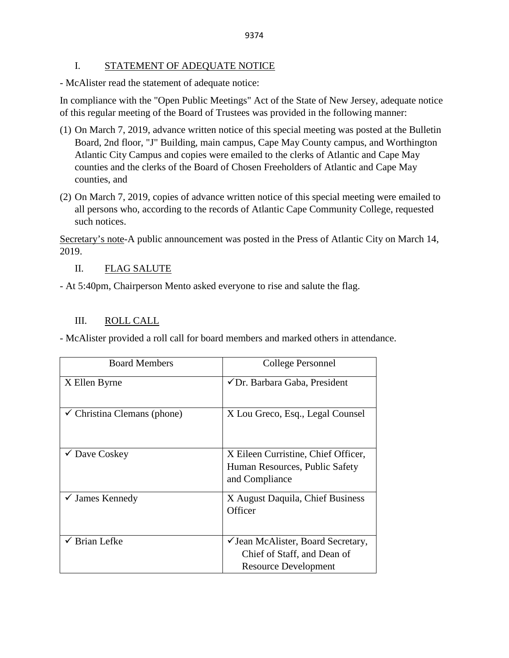#### I. STATEMENT OF ADEQUATE NOTICE

- McAlister read the statement of adequate notice:

In compliance with the "Open Public Meetings" Act of the State of New Jersey, adequate notice of this regular meeting of the Board of Trustees was provided in the following manner:

- (1) On March 7, 2019, advance written notice of this special meeting was posted at the Bulletin Board, 2nd floor, "J" Building, main campus, Cape May County campus, and Worthington Atlantic City Campus and copies were emailed to the clerks of Atlantic and Cape May counties and the clerks of the Board of Chosen Freeholders of Atlantic and Cape May counties, and
- (2) On March 7, 2019, copies of advance written notice of this special meeting were emailed to all persons who, according to the records of Atlantic Cape Community College, requested such notices.

Secretary's note-A public announcement was posted in the Press of Atlantic City on March 14, 2019.

### II. FLAG SALUTE

- At 5:40pm, Chairperson Mento asked everyone to rise and salute the flag.

## III. ROLL CALL

- McAlister provided a roll call for board members and marked others in attendance.

| <b>Board Members</b>                   | College Personnel                                                                                |
|----------------------------------------|--------------------------------------------------------------------------------------------------|
| X Ellen Byrne                          | $\checkmark$ Dr. Barbara Gaba, President                                                         |
| $\checkmark$ Christina Clemans (phone) | X Lou Greco, Esq., Legal Counsel                                                                 |
| $\checkmark$ Dave Coskey               | X Eileen Curristine, Chief Officer,<br>Human Resources, Public Safety<br>and Compliance          |
| $\checkmark$ James Kennedy             | X August Daquila, Chief Business<br>Officer                                                      |
| <b>Brian Lefke</b>                     | ✓ Jean McAlister, Board Secretary,<br>Chief of Staff, and Dean of<br><b>Resource Development</b> |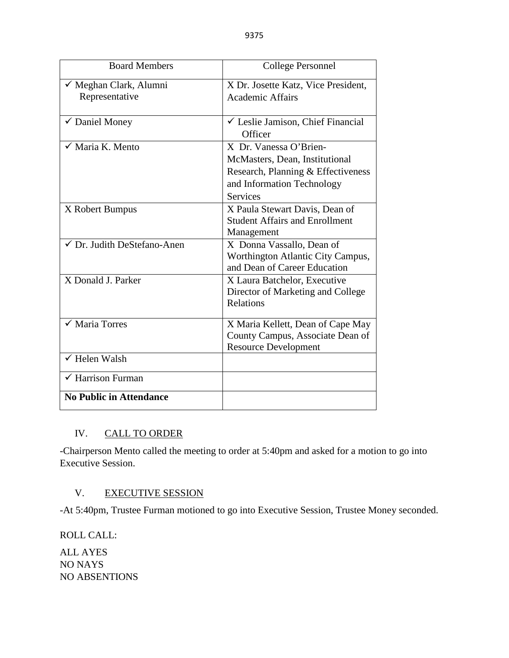9375

| <b>Board Members</b>                     | College Personnel                                                                                                                               |
|------------------------------------------|-------------------------------------------------------------------------------------------------------------------------------------------------|
| ✓ Meghan Clark, Alumni<br>Representative | X Dr. Josette Katz, Vice President,<br><b>Academic Affairs</b>                                                                                  |
| √ Daniel Money                           | $\checkmark$ Leslie Jamison, Chief Financial<br>Officer                                                                                         |
| √ Maria K. Mento                         | X Dr. Vanessa O'Brien-<br>McMasters, Dean, Institutional<br>Research, Planning & Effectiveness<br>and Information Technology<br><b>Services</b> |
| X Robert Bumpus                          | X Paula Stewart Davis, Dean of<br><b>Student Affairs and Enrollment</b><br>Management                                                           |
| $\checkmark$ Dr. Judith DeStefano-Anen   | X Donna Vassallo, Dean of<br>Worthington Atlantic City Campus,<br>and Dean of Career Education                                                  |
| X Donald J. Parker                       | X Laura Batchelor, Executive<br>Director of Marketing and College<br>Relations                                                                  |
| $\checkmark$ Maria Torres                | X Maria Kellett, Dean of Cape May<br>County Campus, Associate Dean of<br><b>Resource Development</b>                                            |
| $\checkmark$ Helen Walsh                 |                                                                                                                                                 |
| $\checkmark$ Harrison Furman             |                                                                                                                                                 |
| <b>No Public in Attendance</b>           |                                                                                                                                                 |

# IV. CALL TO ORDER

-Chairperson Mento called the meeting to order at 5:40pm and asked for a motion to go into Executive Session.

# V. EXECUTIVE SESSION

-At 5:40pm, Trustee Furman motioned to go into Executive Session, Trustee Money seconded.

ROLL CALL:

ALL AYES NO NAYS NO ABSENTIONS